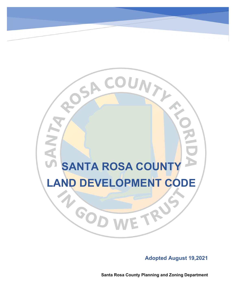# **SANTA ROSA COUNTY** LAND DEVELOPMENT CODE

SACOUNTY

#### **Adopted August 19,2021**

**Santa Rosa County Planning and Zoning Department**

RU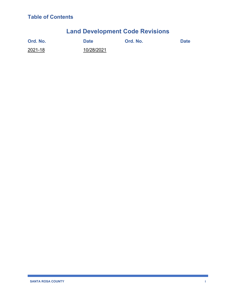### **Land Development Code Revisions**

| Ord. No. | <b>Date</b> | Ord. No. | <b>Date</b> |
|----------|-------------|----------|-------------|
| 2021-18  | 10/28/2021  |          |             |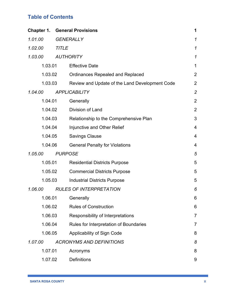|         | <b>Chapter 1. General Provisions</b>           | 1              |
|---------|------------------------------------------------|----------------|
| 1.01.00 | <b>GENERALLY</b>                               | 1              |
| 1.02.00 | <b>TITLE</b>                                   | $\mathcal I$   |
| 1.03.00 | <b>AUTHORITY</b>                               | $\mathcal I$   |
| 1.03.01 | <b>Effective Date</b>                          | $\mathbf 1$    |
| 1.03.02 | <b>Ordinances Repealed and Replaced</b>        | $\overline{2}$ |
| 1.03.03 | Review and Update of the Land Development Code | $\overline{2}$ |
| 1.04.00 | <b>APPLICABILITY</b>                           | $\mathbf{2}$   |
| 1.04.01 | Generally                                      | $\overline{2}$ |
| 1.04.02 | Division of Land                               | $\overline{2}$ |
| 1.04.03 | Relationship to the Comprehensive Plan         | 3              |
| 1.04.04 | Injunctive and Other Relief                    | 4              |
| 1.04.05 | <b>Savings Clause</b>                          | $\overline{4}$ |
| 1.04.06 | <b>General Penalty for Violations</b>          | 4              |
| 1.05.00 | <b>PURPOSE</b>                                 | 5              |
| 1.05.01 | <b>Residential Districts Purpose</b>           | 5              |
| 1.05.02 | <b>Commercial Districts Purpose</b>            | 5              |
| 1.05.03 | <b>Industrial Districts Purpose</b>            | 5              |
| 1.06.00 | <b>RULES OF INTERPRETATION</b>                 | 6              |
| 1.06.01 | Generally                                      | 6              |
| 1.06.02 | <b>Rules of Construction</b>                   | 6              |
| 1.06.03 | Responsibility of Interpretations              | $\overline{7}$ |
| 1.06.04 | Rules for Interpretation of Boundaries         | 7              |
| 1.06.05 | Applicability of Sign Code                     | 8              |
| 1.07.00 | <b>ACRONYMS AND DEFINITIONS</b>                | 8              |
| 1.07.01 | Acronyms                                       | 8              |
| 1.07.02 | <b>Definitions</b>                             | 9              |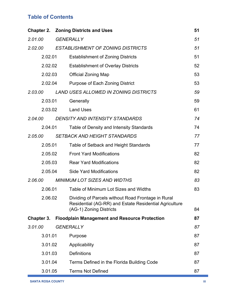|            | <b>Chapter 2. Zoning Districts and Uses</b>                                                                                             | 51 |
|------------|-----------------------------------------------------------------------------------------------------------------------------------------|----|
| 2.01.00    | <b>GENERALLY</b>                                                                                                                        | 51 |
| 2.02.00    | <b>ESTABLISHMENT OF ZONING DISTRICTS</b>                                                                                                | 51 |
| 2.02.01    | <b>Establishment of Zoning Districts</b>                                                                                                | 51 |
| 2.02.02    | <b>Establishment of Overlay Districts</b>                                                                                               | 52 |
| 2.02.03    | <b>Official Zoning Map</b>                                                                                                              | 53 |
| 2.02.04    | Purpose of Each Zoning District                                                                                                         | 53 |
| 2.03.00    | <b>LAND USES ALLOWED IN ZONING DISTRICTS</b>                                                                                            | 59 |
| 2.03.01    | Generally                                                                                                                               | 59 |
| 2.03.02    | <b>Land Uses</b>                                                                                                                        | 61 |
| 2.04.00    | <b>DENSITY AND INTENSITY STANDARDS</b>                                                                                                  | 74 |
| 2.04.01    | Table of Density and Intensity Standards                                                                                                | 74 |
| 2.05.00    | <b>SETBACK AND HEIGHT STANDARDS</b>                                                                                                     | 77 |
| 2.05.01    | Table of Setback and Height Standards                                                                                                   | 77 |
| 2.05.02    | <b>Front Yard Modifications</b>                                                                                                         | 82 |
| 2.05.03    | <b>Rear Yard Modifications</b>                                                                                                          | 82 |
| 2.05.04    | <b>Side Yard Modifications</b>                                                                                                          | 82 |
| 2.06.00    | <b>MINIMUM LOT SIZES AND WIDTHS</b>                                                                                                     | 83 |
| 2.06.01    | Table of Minimum Lot Sizes and Widths                                                                                                   | 83 |
| 2.06.02    | Dividing of Parcels without Road Frontage in Rural<br>Residential (AG-RR) and Estate Residential Agriculture<br>(AG-1) Zoning Districts | 84 |
| Chapter 3. | <b>Floodplain Management and Resource Protection</b>                                                                                    | 87 |
| 3.01.00    | <b>GENERALLY</b>                                                                                                                        | 87 |
| 3.01.01    | Purpose                                                                                                                                 | 87 |
| 3.01.02    | Applicability                                                                                                                           | 87 |
| 3.01.03    | <b>Definitions</b>                                                                                                                      | 87 |
| 3.01.04    | Terms Defined in the Florida Building Code                                                                                              | 87 |
| 3.01.05    | <b>Terms Not Defined</b>                                                                                                                | 87 |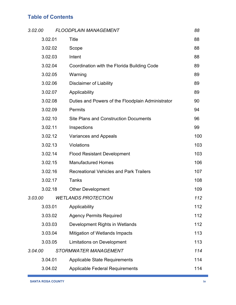| 3.02.00 |         | <b>FLOODPLAIN MANAGEMENT</b>                      | 88  |
|---------|---------|---------------------------------------------------|-----|
|         | 3.02.01 | <b>Title</b>                                      | 88  |
|         | 3.02.02 | Scope                                             | 88  |
|         | 3.02.03 | Intent                                            | 88  |
|         | 3.02.04 | Coordination with the Florida Building Code       | 89  |
|         | 3.02.05 | Warning                                           | 89  |
|         | 3.02.06 | <b>Disclaimer of Liability</b>                    | 89  |
|         | 3.02.07 | Applicability                                     | 89  |
|         | 3.02.08 | Duties and Powers of the Floodplain Administrator | 90  |
|         | 3.02.09 | <b>Permits</b>                                    | 94  |
|         | 3.02.10 | <b>Site Plans and Construction Documents</b>      | 96  |
|         | 3.02.11 | Inspections                                       | 99  |
|         | 3.02.12 | <b>Variances and Appeals</b>                      | 100 |
|         | 3.02.13 | Violations                                        | 103 |
|         | 3.02.14 | <b>Flood Resistant Development</b>                | 103 |
|         | 3.02.15 | <b>Manufactured Homes</b>                         | 106 |
|         | 3.02.16 | <b>Recreational Vehicles and Park Trailers</b>    | 107 |
|         | 3.02.17 | <b>Tanks</b>                                      | 108 |
|         | 3.02.18 | <b>Other Development</b>                          | 109 |
| 3.03.00 |         | <b>WETLANDS PROTECTION</b>                        | 112 |
|         | 3.03.01 | Applicability                                     | 112 |
|         | 3.03.02 | <b>Agency Permits Required</b>                    | 112 |
|         | 3.03.03 | Development Rights in Wetlands                    | 112 |
|         | 3.03.04 | Mitigation of Wetlands Impacts                    | 113 |
|         | 3.03.05 | <b>Limitations on Development</b>                 | 113 |
| 3.04.00 |         | STORMWATER MANAGEMENT                             | 114 |
|         | 3.04.01 | <b>Applicable State Requirements</b>              | 114 |
|         | 3.04.02 | <b>Applicable Federal Requirements</b>            | 114 |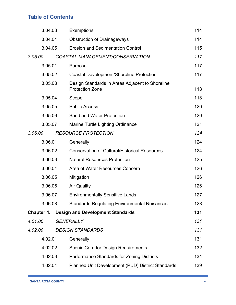| 3.04.03    | <b>Exemptions</b>                                                         | 114 |
|------------|---------------------------------------------------------------------------|-----|
| 3.04.04    | <b>Obstruction of Drainageways</b>                                        | 114 |
| 3.04.05    | <b>Erosion and Sedimentation Control</b>                                  | 115 |
| 3.05.00    | COASTAL MANAGEMENT/CONSERVATION                                           | 117 |
| 3.05.01    | Purpose                                                                   | 117 |
| 3.05.02    | <b>Coastal Development/Shoreline Protection</b>                           | 117 |
| 3.05.03    | Design Standards in Areas Adjacent to Shoreline<br><b>Protection Zone</b> | 118 |
| 3.05.04    | Scope                                                                     | 118 |
| 3.05.05    | <b>Public Access</b>                                                      | 120 |
| 3.05.06    | Sand and Water Protection                                                 | 120 |
| 3.05.07    | Marine Turtle Lighting Ordinance                                          | 121 |
| 3.06.00    | <b>RESOURCE PROTECTION</b>                                                | 124 |
| 3.06.01    | Generally                                                                 | 124 |
| 3.06.02    | <b>Conservation of Cultural/Historical Resources</b>                      | 124 |
| 3.06.03    | <b>Natural Resources Protection</b>                                       | 125 |
| 3.06.04    | Area of Water Resources Concern                                           | 126 |
| 3.06.05    | Mitigation                                                                | 126 |
| 3.06.06    | <b>Air Quality</b>                                                        | 126 |
| 3.06.07    | <b>Environmentally Sensitive Lands</b>                                    | 127 |
| 3.06.08    | <b>Standards Regulating Environmental Nuisances</b>                       | 128 |
| Chapter 4. | <b>Design and Development Standards</b>                                   | 131 |
| 4.01.00    | <b>GENERALLY</b>                                                          | 131 |
| 4.02.00    | <b>DESIGN STANDARDS</b>                                                   | 131 |
| 4.02.01    | Generally                                                                 | 131 |
| 4.02.02    | <b>Scenic Corridor Design Requirements</b>                                | 132 |
| 4.02.03    | Performance Standards for Zoning Districts                                | 134 |
| 4.02.04    | Planned Unit Development (PUD) District Standards                         | 139 |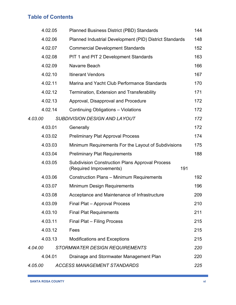|         | 4.02.05 | <b>Planned Business District (PBD) Standards</b>                                         | 144 |
|---------|---------|------------------------------------------------------------------------------------------|-----|
|         | 4.02.06 | Planned Industrial Development (PID) District Standards                                  | 148 |
|         | 4.02.07 | <b>Commercial Development Standards</b>                                                  | 152 |
|         | 4.02.08 | PIT 1 and PIT 2 Development Standards                                                    | 163 |
|         | 4.02.09 | Navarre Beach                                                                            | 166 |
|         | 4.02.10 | <b>Itinerant Vendors</b>                                                                 | 167 |
|         | 4.02.11 | Marina and Yacht Club Performance Standards                                              | 170 |
|         | 4.02.12 | Termination, Extension and Transferability                                               | 171 |
|         | 4.02.13 | Approval, Disapproval and Procedure                                                      | 172 |
|         | 4.02.14 | Continuing Obligations - Violations                                                      | 172 |
| 4.03.00 |         | <b>SUBDIVISION DESIGN AND LAYOUT</b>                                                     | 172 |
|         | 4.03.01 | Generally                                                                                | 172 |
|         | 4.03.02 | <b>Preliminary Plat Approval Process</b>                                                 | 174 |
|         | 4.03.03 | Minimum Requirements For the Layout of Subdivisions                                      | 175 |
|         | 4.03.04 | <b>Preliminary Plat Requirements</b>                                                     | 188 |
|         | 4.03.05 | <b>Subdivision Construction Plans Approval Process</b><br>191<br>(Required Improvements) |     |
|         | 4.03.06 | <b>Construction Plans - Minimum Requirements</b>                                         | 192 |
|         | 4.03.07 | <b>Minimum Design Requirements</b>                                                       | 196 |
|         | 4.03.08 | Acceptance and Maintenance of Infrastructure                                             | 209 |
|         | 4.03.09 | Final Plat - Approval Process                                                            | 210 |
|         | 4.03.10 | <b>Final Plat Requirements</b>                                                           | 211 |
|         | 4.03.11 | Final Plat - Filing Process                                                              | 215 |
|         | 4.03.12 | Fees                                                                                     | 215 |
|         | 4.03.13 | <b>Modifications and Exceptions</b>                                                      | 215 |
| 4.04.00 |         | <b>STORMWATER DESIGN REQUIREMENTS</b>                                                    | 220 |
|         | 4.04.01 | Drainage and Stormwater Management Plan                                                  | 220 |
| 4.05.00 |         | <b>ACCESS MANAGEMENT STANDARDS</b>                                                       | 225 |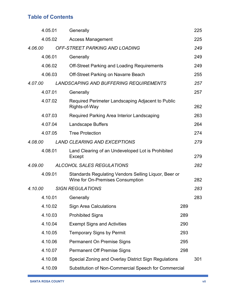|         | 4.05.01 | Generally                                                                                |     | 225 |
|---------|---------|------------------------------------------------------------------------------------------|-----|-----|
|         | 4.05.02 | <b>Access Management</b>                                                                 |     | 225 |
| 4.06.00 |         | OFF-STREET PARKING AND LOADING                                                           |     | 249 |
|         | 4.06.01 | Generally                                                                                |     | 249 |
|         | 4.06.02 | <b>Off-Street Parking and Loading Requirements</b>                                       |     | 249 |
|         | 4.06.03 | <b>Off-Street Parking on Navarre Beach</b>                                               |     | 255 |
| 4.07.00 |         | <b>LANDSCAPING AND BUFFERING REQUIREMENTS</b>                                            |     | 257 |
|         | 4.07.01 | Generally                                                                                |     | 257 |
|         | 4.07.02 | Required Perimeter Landscaping Adjacent to Public<br>Rights-of-Way                       |     | 262 |
|         | 4.07.03 | Required Parking Area Interior Landscaping                                               |     | 263 |
|         | 4.07.04 | <b>Landscape Buffers</b>                                                                 |     | 264 |
|         | 4.07.05 | <b>Tree Protection</b>                                                                   |     | 274 |
| 4.08.00 |         | <b>LAND CLEARING AND EXCEPTIONS</b>                                                      |     | 279 |
|         | 4.08.01 | Land Clearing of an Undeveloped Lot is Prohibited<br>Except                              |     | 279 |
| 4.09.00 |         | <b>ALCOHOL SALES REGULATIONS</b>                                                         |     | 282 |
|         | 4.09.01 | Standards Regulating Vendors Selling Liquor, Beer or<br>Wine for On-Premises Consumption |     | 282 |
| 4.10.00 |         | <b>SIGN REGULATIONS</b>                                                                  |     | 283 |
|         | 4.10.01 | Generally                                                                                |     | 283 |
|         | 4.10.02 | <b>Sign Area Calculations</b>                                                            | 289 |     |
|         | 4.10.03 | <b>Prohibited Signs</b>                                                                  | 289 |     |
|         | 4.10.04 | <b>Exempt Signs and Activities</b>                                                       | 290 |     |
|         | 4.10.05 | <b>Temporary Signs by Permit</b>                                                         | 293 |     |
|         | 4.10.06 | Permanent On Premise Signs                                                               | 295 |     |
|         | 4.10.07 | <b>Permanent Off Premise Signs</b>                                                       | 298 |     |
|         | 4.10.08 | Special Zoning and Overlay District Sign Regulations                                     |     | 301 |
|         | 4.10.09 | Substitution of Non-Commercial Speech for Commercial                                     |     |     |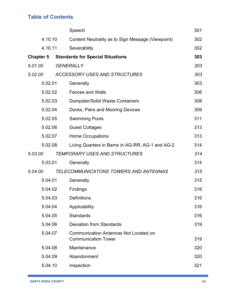|                  | Speech                                                                     | 301 |
|------------------|----------------------------------------------------------------------------|-----|
| 4.10.10          | Content Neutrality as to Sign Message (Viewpoint)                          | 302 |
| 4.10.11          | Severability                                                               | 302 |
| <b>Chapter 5</b> | <b>Standards for Special Situations</b>                                    | 303 |
| 5.01.00          | <b>GENERALLY</b>                                                           | 303 |
| 5.02.00          | <b>ACCESSORY USES AND STRUCTURES</b>                                       | 303 |
| 5.02.01          | Generally                                                                  | 303 |
| 5.02.02          | <b>Fences and Walls</b>                                                    | 306 |
| 5.02.03          | <b>Dumpster/Solid Waste Containers</b>                                     | 308 |
| 5.02.04          | Docks, Piers and Mooring Devices                                           | 309 |
| 5.02.05          | <b>Swimming Pools</b>                                                      | 311 |
| 5.02.06          | <b>Guest Cottages</b>                                                      | 313 |
| 5.02.07          | <b>Home Occupations</b>                                                    | 313 |
| 5.02.08          | Living Quarters in Barns in AG-RR, AG-1 and AG-2                           | 314 |
| 5.03.00          | TEMPORARY USES AND STRUCTURES                                              | 314 |
| 5.03.01          | Generally                                                                  | 314 |
| 5.04.00          | TELECOMMUNICATONS TOWERS AND ANTENNAS                                      | 315 |
| 5.04.01          | Generally                                                                  | 315 |
| 5.04.02          |                                                                            |     |
|                  | Findings                                                                   | 316 |
| 5.04.03          | <b>Definitions</b>                                                         | 316 |
| 5.04.04          | Applicability                                                              | 316 |
| 5.04.05          | <b>Standards</b>                                                           | 316 |
| 5.04.06          | <b>Deviation from Standards</b>                                            | 319 |
| 5.04.07          | <b>Communication Antennas Not Located on</b><br><b>Communication Tower</b> | 319 |
| 5.04.08          | Maintenance                                                                | 320 |
| 5.04.09          | Abandonment                                                                | 320 |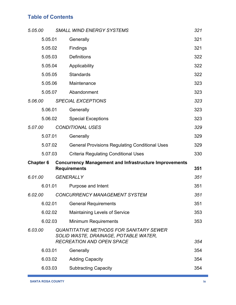| 5.05.00          | <b>SMALL WIND ENERGY SYSTEMS</b>                                                                                            | 321 |
|------------------|-----------------------------------------------------------------------------------------------------------------------------|-----|
| 5.05.01          | Generally                                                                                                                   | 321 |
| 5.05.02          | Findings                                                                                                                    | 321 |
| 5.05.03          | <b>Definitions</b>                                                                                                          | 322 |
| 5.05.04          | Applicability                                                                                                               | 322 |
| 5.05.05          | <b>Standards</b>                                                                                                            | 322 |
| 5.05.06          | Maintenance                                                                                                                 | 323 |
| 5.05.07          | Abandonment                                                                                                                 | 323 |
| 5.06.00          | <b>SPECIAL EXCEPTIONS</b>                                                                                                   | 323 |
| 5.06.01          | Generally                                                                                                                   | 323 |
| 5.06.02          | <b>Special Exceptions</b>                                                                                                   | 323 |
| 5.07.00          | <b>CONDITIONAL USES</b>                                                                                                     | 329 |
| 5.07.01          | Generally                                                                                                                   | 329 |
| 5.07.02          | <b>General Provisions Regulating Conditional Uses</b>                                                                       | 329 |
| 5.07.03          | <b>Criteria Regulating Conditional Uses</b>                                                                                 | 330 |
| <b>Chapter 6</b> | <b>Concurrency Management and Infrastructure Improvements</b><br><b>Requirements</b>                                        | 351 |
| 6.01.00          | <b>GENERALLY</b>                                                                                                            | 351 |
| 6.01.01          | Purpose and Intent                                                                                                          | 351 |
| 6.02.00          | CONCURRENCY MANAGEMENT SYSTEM                                                                                               | 351 |
| 6.02.01          | <b>General Requirements</b>                                                                                                 | 351 |
| 6.02.02          | <b>Maintaining Levels of Service</b>                                                                                        | 353 |
| 6.02.03          | <b>Minimum Requirements</b>                                                                                                 | 353 |
| 6.03.00          | <b>QUANTITATIVE METHODS FOR SANITARY SEWER</b><br>SOLID WASTE, DRAINAGE, POTABLE WATER,<br><b>RECREATION AND OPEN SPACE</b> | 354 |
| 6.03.01          | Generally                                                                                                                   | 354 |
| 6.03.02          | <b>Adding Capacity</b>                                                                                                      | 354 |
| 6.03.03          | <b>Subtracting Capacity</b>                                                                                                 | 354 |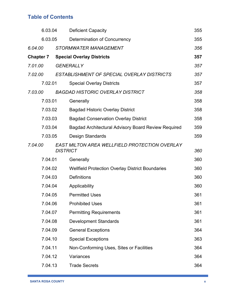| 6.03.04          | <b>Deficient Capacity</b>                                        | 355 |
|------------------|------------------------------------------------------------------|-----|
| 6.03.05          | <b>Determination of Concurrency</b>                              | 355 |
| 6.04.00          | <b>STORMWATER MANAGEMENT</b>                                     | 356 |
| <b>Chapter 7</b> | <b>Special Overlay Districts</b>                                 | 357 |
| 7.01.00          | <b>GENERALLY</b>                                                 | 357 |
| 7.02.00          | ESTABLISHMENT OF SPECIAL OVERLAY DISTRICTS                       | 357 |
| 7.02.01          | <b>Special Overlay Districts</b>                                 | 357 |
| 7.03.00          | <b>BAGDAD HISTORIC OVERLAY DISTRICT</b>                          | 358 |
| 7.03.01          | Generally                                                        | 358 |
| 7.03.02          | <b>Bagdad Historic Overlay District</b>                          | 358 |
| 7.03.03          | <b>Bagdad Conservation Overlay District</b>                      | 358 |
| 7.03.04          | Bagdad Architectural Advisory Board Review Required              | 359 |
| 7.03.05          | Design Standards                                                 | 359 |
| 7.04.00          | EAST MILTON AREA WELLFIELD PROTECTION OVERLAY<br><b>DISTRICT</b> | 360 |
| 7.04.01          | Generally                                                        | 360 |
| 7.04.02          | <b>Wellfield Protection Overlay District Boundaries</b>          | 360 |
| 7.04.03          | <b>Definitions</b>                                               | 360 |
| 7.04.04          | Applicability                                                    | 360 |
| 7.04.05          | <b>Permitted Uses</b>                                            | 361 |
| 7.04.06          | <b>Prohibited Uses</b>                                           | 361 |
| 7.04.07          | <b>Permitting Requirements</b>                                   | 361 |
| 7.04.08          | <b>Development Standards</b>                                     | 361 |
| 7.04.09          | <b>General Exceptions</b>                                        | 364 |
| 7.04.10          | <b>Special Exceptions</b>                                        | 363 |
| 7.04.11          | Non-Conforming Uses, Sites or Facilities                         | 364 |
| 7.04.12          | Variances                                                        | 364 |
| 7.04.13          | <b>Trade Secrets</b>                                             | 364 |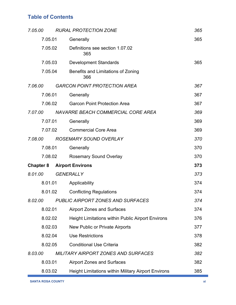| 7.05.00          | <b>RURAL PROTECTION ZONE</b>                               | 365 |
|------------------|------------------------------------------------------------|-----|
| 7.05.01          | Generally                                                  | 365 |
| 7.05.02          | Definitions see section 1.07.02<br>365                     |     |
| 7.05.03          | <b>Development Standards</b>                               | 365 |
| 7.05.04          | Benefits and Limitations of Zoning<br>366                  |     |
| 7.06.00          | <b>GARCON POINT PROTECTION AREA</b>                        | 367 |
| 7.06.01          | Generally                                                  | 367 |
| 7.06.02          | <b>Garcon Point Protection Area</b>                        | 367 |
| 7.07.00          | NAVARRE BEACH COMMERCIAL CORE AREA                         | 369 |
| 7.07.01          | Generally                                                  | 369 |
| 7.07.02          | <b>Commercial Core Area</b>                                | 369 |
| 7.08.00          | <b>ROSEMARY SOUND OVERLAY</b>                              | 370 |
| 7.08.01          | Generally                                                  | 370 |
| 7.08.02          | <b>Rosemary Sound Overlay</b>                              | 370 |
| <b>Chapter 8</b> | <b>Airport Environs</b>                                    | 373 |
| 8.01.00          | <b>GENERALLY</b>                                           | 373 |
| 8.01.01          | Applicability                                              | 374 |
| 8.01.02          | <b>Conflicting Regulations</b>                             | 374 |
|                  | 8.02.00 PUBLIC AIRPORT ZONES AND SURFACES                  | 374 |
| 8.02.01          | <b>Airport Zones and Surfaces</b>                          | 374 |
| 8.02.02          | <b>Height Limitations within Public Airport Environs</b>   | 376 |
| 8.02.03          | New Public or Private Airports                             | 377 |
| 8.02.04          | <b>Use Restrictions</b>                                    | 378 |
| 8.02.05          | <b>Conditional Use Criteria</b>                            | 382 |
| 8.03.00          | <b>MILITARY AIRPORT ZONES AND SURFACES</b>                 | 382 |
| 8.03.01          | <b>Airport Zones and Surfaces</b>                          | 382 |
| 8.03.02          | <b>Height Limitations within Military Airport Environs</b> | 385 |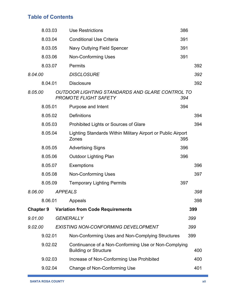| 8.03.03          |                | <b>Use Restrictions</b>                                                              | 386 |     |
|------------------|----------------|--------------------------------------------------------------------------------------|-----|-----|
| 8.03.04          |                | <b>Conditional Use Criteria</b>                                                      | 391 |     |
| 8.03.05          |                | Navy Outlying Field Spencer                                                          | 391 |     |
| 8.03.06          |                | <b>Non-Conforming Uses</b>                                                           | 391 |     |
| 8.03.07          |                | <b>Permits</b>                                                                       |     | 392 |
| 8.04.00          |                | <b>DISCLOSURE</b>                                                                    |     | 392 |
| 8.04.01          |                | <b>Disclosure</b>                                                                    |     | 392 |
| 8.05.00          |                | OUTDOOR LIGHTING STANDARDS AND GLARE CONTROL TO<br>PROMOTE FLIGHT SAFETY             | 394 |     |
| 8.05.01          |                | Purpose and Intent                                                                   | 394 |     |
| 8.05.02          |                | <b>Definitions</b>                                                                   |     | 394 |
| 8.05.03          |                | Prohibited Lights or Sources of Glare                                                |     | 394 |
| 8.05.04          |                | Lighting Standards Within Military Airport or Public Airport<br>Zones                | 395 |     |
| 8.05.05          |                | <b>Advertising Signs</b>                                                             | 396 |     |
| 8.05.06          |                | <b>Outdoor Lighting Plan</b>                                                         | 396 |     |
| 8.05.07          |                | <b>Exemptions</b>                                                                    |     | 396 |
| 8.05.08          |                | <b>Non-Conforming Uses</b>                                                           |     | 397 |
| 8.05.09          |                | <b>Temporary Lighting Permits</b>                                                    | 397 |     |
| 8.06.00          | <b>APPEALS</b> |                                                                                      |     | 398 |
|                  |                | 8.06.01 Appeals                                                                      |     | 398 |
| <b>Chapter 9</b> |                | <b>Variation from Code Requirements</b>                                              |     | 399 |
| 9.01.00          |                | <b>GENERALLY</b>                                                                     |     | 399 |
| 9.02.00          |                | <b>EXISTING NON-CONFORMING DEVELOPMENT</b>                                           |     | 399 |
| 9.02.01          |                | Non-Conforming Uses and Non-Complying Structures                                     |     | 399 |
| 9.02.02          |                | Continuance of a Non-Conforming Use or Non-Complying<br><b>Building or Structure</b> |     | 400 |
| 9.02.03          |                | Increase of Non-Conforming Use Prohibited                                            |     | 400 |
| 9.02.04          |                | Change of Non-Conforming Use                                                         |     | 401 |
|                  |                |                                                                                      |     |     |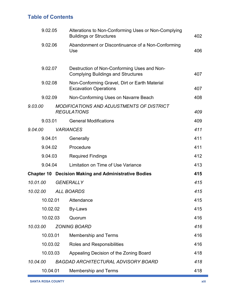|          | 9.02.05<br>9.02.06<br>9.02.07 |  | Alterations to Non-Conforming Uses or Non-Complying<br><b>Buildings or Structures</b>    |     |
|----------|-------------------------------|--|------------------------------------------------------------------------------------------|-----|
|          |                               |  | Abandonment or Discontinuance of a Non-Conforming<br>Use                                 | 406 |
|          |                               |  | Destruction of Non-Conforming Uses and Non-<br><b>Complying Buildings and Structures</b> | 407 |
|          | 9.02.08                       |  | Non-Conforming Gravel, Dirt or Earth Material<br><b>Excavation Operations</b>            | 407 |
|          | 9.02.09                       |  | Non-Conforming Uses on Navarre Beach                                                     | 408 |
| 9.03.00  |                               |  | MODIFICATIONS AND ADJUSTMENTS OF DISTRICT<br><b>REGULATIONS</b>                          | 409 |
|          | 9.03.01                       |  | <b>General Modifications</b>                                                             | 409 |
| 9.04.00  |                               |  | <b>VARIANCES</b>                                                                         | 411 |
|          | 9.04.01                       |  | Generally                                                                                | 411 |
|          | 9.04.02                       |  | Procedure                                                                                | 411 |
|          | 9.04.03                       |  | <b>Required Findings</b>                                                                 | 412 |
|          | 9.04.04                       |  | Limitation on Time of Use Variance                                                       | 413 |
|          | Chapter 10                    |  | <b>Decision Making and Administrative Bodies</b>                                         | 415 |
| 10.01.00 |                               |  | <b>GENERALLY</b>                                                                         | 415 |
| 10.02.00 |                               |  | <b>ALL BOARDS</b>                                                                        | 415 |
|          |                               |  | 10.02.01 Attendance                                                                      | 415 |
|          | 10.02.02                      |  | By-Laws                                                                                  | 415 |
|          | 10.02.03                      |  | Quorum                                                                                   | 416 |
| 10.03.00 |                               |  | <b>ZONING BOARD</b>                                                                      | 416 |
|          | 10.03.01                      |  | <b>Membership and Terms</b>                                                              | 416 |
|          | 10.03.02                      |  | <b>Roles and Responsibilities</b>                                                        | 416 |
|          | 10.03.03                      |  | Appealing Decision of the Zoning Board                                                   | 418 |
| 10.04.00 |                               |  | <b>BAGDAD ARCHITECTURAL ADVISORY BOARD</b>                                               | 418 |
|          | 10.04.01                      |  | <b>Membership and Terms</b>                                                              | 418 |

ı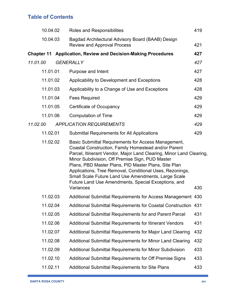| 10.04.02 | Roles and Responsibilities                                                                                                                                                                                                                                                                     | 419                                                                                                                                                                                                                                                   |
|----------|------------------------------------------------------------------------------------------------------------------------------------------------------------------------------------------------------------------------------------------------------------------------------------------------|-------------------------------------------------------------------------------------------------------------------------------------------------------------------------------------------------------------------------------------------------------|
| 10.04.03 | Bagdad Architectural Advisory Board (BAAB) Design<br><b>Review and Approval Process</b>                                                                                                                                                                                                        | 421                                                                                                                                                                                                                                                   |
|          |                                                                                                                                                                                                                                                                                                | 427                                                                                                                                                                                                                                                   |
|          |                                                                                                                                                                                                                                                                                                | 427                                                                                                                                                                                                                                                   |
| 11.01.01 | Purpose and Intent                                                                                                                                                                                                                                                                             | 427                                                                                                                                                                                                                                                   |
| 11.01.02 | Applicability to Development and Exceptions                                                                                                                                                                                                                                                    | 428                                                                                                                                                                                                                                                   |
| 11.01.03 |                                                                                                                                                                                                                                                                                                | 428                                                                                                                                                                                                                                                   |
| 11.01.04 | <b>Fees Required</b>                                                                                                                                                                                                                                                                           | 429                                                                                                                                                                                                                                                   |
| 11.01.05 | Certificate of Occupancy                                                                                                                                                                                                                                                                       | 429                                                                                                                                                                                                                                                   |
| 11.01.06 | <b>Computation of Time</b>                                                                                                                                                                                                                                                                     | 429                                                                                                                                                                                                                                                   |
|          |                                                                                                                                                                                                                                                                                                | 429                                                                                                                                                                                                                                                   |
| 11.02.01 | <b>Submittal Requirements for All Applications</b>                                                                                                                                                                                                                                             | 429                                                                                                                                                                                                                                                   |
| 11.02.02 | Basic Submittal Requirements for Access Management,<br>Coastal Construction, Family Homestead and/or Parent                                                                                                                                                                                    |                                                                                                                                                                                                                                                       |
|          | Minor Subdivision, Off Premise Sign, PUD Master<br>Plans, PBD Master Plans, PID Master Plans, Site Plan<br>Applications, Tree Removal, Conditional Uses, Rezonings,<br>Small Scale Future Land Use Amendments, Large Scale<br>Future Land Use Amendments, Special Exceptions, and<br>Variances | 430                                                                                                                                                                                                                                                   |
| 11.02.03 |                                                                                                                                                                                                                                                                                                |                                                                                                                                                                                                                                                       |
| 11.02.04 | Additional Submittal Requirements for Access Management 430                                                                                                                                                                                                                                    |                                                                                                                                                                                                                                                       |
| 11.02.05 | Additional Submittal Requirements for Coastal Construction 431                                                                                                                                                                                                                                 | 431                                                                                                                                                                                                                                                   |
| 11.02.06 | Additional Submittal Requirements for and Parent Parcel<br>Additional Submittal Requirements for Itinerant Vendors                                                                                                                                                                             | 431                                                                                                                                                                                                                                                   |
| 11.02.07 | Additional Submittal Requirements for Major Land Clearing                                                                                                                                                                                                                                      | 432                                                                                                                                                                                                                                                   |
| 11.02.08 | Additional Submittal Requirements for Minor Land Clearing                                                                                                                                                                                                                                      | 432                                                                                                                                                                                                                                                   |
| 11.02.09 | <b>Additional Submittal Requirements for Minor Subdivision</b>                                                                                                                                                                                                                                 | 433                                                                                                                                                                                                                                                   |
| 11.02.10 | Additional Submittal Requirements for Off Premise Signs                                                                                                                                                                                                                                        | 433                                                                                                                                                                                                                                                   |
|          |                                                                                                                                                                                                                                                                                                | <b>Chapter 11 Application, Review and Decision-Making Procedures</b><br><b>GENERALLY</b><br>Applicability to a Change of Use and Exceptions<br><b>APPLICATION REQUIREMENTS</b><br>Parcel, Itinerant Vendor, Major Land Clearing, Minor Land Clearing, |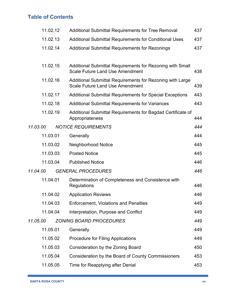|          | 11.02.12 | <b>Additional Submittal Requirements for Tree Removal</b>                                           | 437 |
|----------|----------|-----------------------------------------------------------------------------------------------------|-----|
|          | 11.02.13 | Additional Submittal Requirements for Conditional Uses                                              | 437 |
|          | 11.02.14 | Additional Submittal Requirements for Rezonings                                                     | 437 |
|          |          |                                                                                                     |     |
|          | 11.02.15 | Additional Submittal Requirements for Rezoning with Small<br><b>Scale Future Land Use Amendment</b> | 438 |
|          | 11.02.16 | Additional Submittal Requirements for Rezoning with Large<br><b>Scale Future Land Use Amendment</b> | 439 |
|          | 11.02.17 | <b>Additional Submittal Requirements for Special Exceptions</b>                                     | 443 |
|          | 11.02.18 | <b>Additional Submittal Requirements for Variances</b>                                              | 443 |
|          | 11.02.19 | Additional Submittal Requirements for Bagdad Certificate of<br>Appropriateness                      | 444 |
| 11.03.00 |          | <b>NOTICE REQUIREMENTS</b>                                                                          | 444 |
|          | 11.03.01 | Generally                                                                                           | 444 |
|          | 11.03.02 | <b>Neighborhood Notice</b>                                                                          | 445 |
|          | 11.03.03 | <b>Posted Notice</b>                                                                                | 445 |
|          | 11.03.04 | <b>Published Notice</b>                                                                             | 446 |
| 11.04.00 |          | <b>GENERAL PROCEDURES</b>                                                                           | 446 |
|          | 11.04.01 | Determination of Completeness and Consistence with<br>Regulations                                   | 446 |
|          | 11.04.02 | <b>Application Reviews</b>                                                                          | 446 |
|          | 11.04.03 | <b>Enforcement, Violations and Penalties</b>                                                        | 449 |
|          | 11.04.04 | Interpretation, Purpose and Conflict                                                                | 449 |
| 11.05.00 |          | <b>ZONING BOARD PROCEDURES</b>                                                                      | 449 |
|          | 11.05.01 | Generally                                                                                           | 449 |
|          | 11.05.02 | <b>Procedure for Filing Applications</b>                                                            | 449 |
|          | 11.05.03 | Consideration by the Zoning Board                                                                   | 450 |
|          | 11.05.04 | Consideration by the Board of County Commissioners                                                  | 453 |
|          | 11.05.05 | Time for Reapplying after Denial                                                                    | 453 |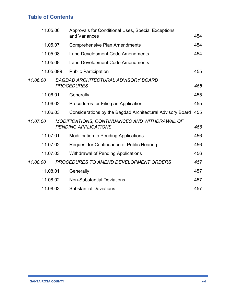|          | 11.05.06<br>11.05.07<br>11.05.08<br>11.05.08 |  | Approvals for Conditional Uses, Special Exceptions                           |     |
|----------|----------------------------------------------|--|------------------------------------------------------------------------------|-----|
|          |                                              |  | and Variances                                                                | 454 |
|          |                                              |  | <b>Comprehensive Plan Amendments</b>                                         | 454 |
|          |                                              |  | <b>Land Development Code Amendments</b>                                      | 454 |
|          |                                              |  | <b>Land Development Code Amendments</b>                                      |     |
|          | 11.05.099                                    |  | <b>Public Participation</b>                                                  | 455 |
| 11.06.00 |                                              |  | <b>BAGDAD ARCHITECTURAL ADVISORY BOARD</b><br><b>PROCEDURES</b>              | 455 |
|          | 11.06.01                                     |  | Generally                                                                    | 455 |
|          | 11.06.02                                     |  | Procedures for Filing an Application                                         | 455 |
|          | 11.06.03                                     |  | Considerations by the Bagdad Architectural Advisory Board 455                |     |
| 11.07.00 |                                              |  | MODIFICATIONS, CONTINUANCES AND WITHDRAWAL OF<br><b>PENDING APPLICATIONS</b> | 456 |
|          | 11.07.01                                     |  | <b>Modification to Pending Applications</b>                                  | 456 |
|          | 11.07.02                                     |  | <b>Request for Continuance of Public Hearing</b>                             | 456 |
|          | 11.07.03                                     |  | <b>Withdrawal of Pending Applications</b>                                    | 456 |
| 11.08.00 |                                              |  | PROCEDURES TO AMEND DEVELOPMENT ORDERS                                       | 457 |
|          | 11.08.01                                     |  | Generally                                                                    | 457 |
|          | 11.08.02<br>11.08.03                         |  | <b>Non-Substantial Deviations</b>                                            | 457 |
|          |                                              |  | <b>Substantial Deviations</b>                                                | 457 |